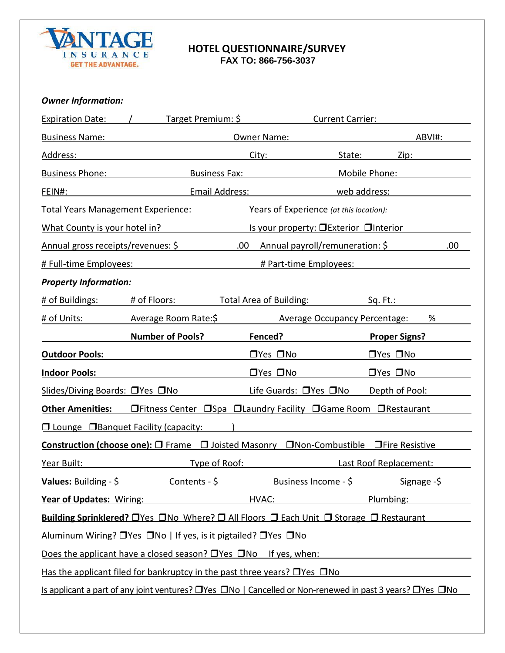

#### **HOTEL QUESTIONNAIRE/SURVEY FAX TO: 866-756-3037**

## *Owner Information:*

|                                                  | Expiration Date: / Target Premium: \$                                                                                    |                                                                                                                                                                                                                                     | Current Carrier:                                                                                                     |        |  |
|--------------------------------------------------|--------------------------------------------------------------------------------------------------------------------------|-------------------------------------------------------------------------------------------------------------------------------------------------------------------------------------------------------------------------------------|----------------------------------------------------------------------------------------------------------------------|--------|--|
|                                                  | <b>Business Name:</b> Name: Name and Name and Name and Name and Name and Name and Name and Name and Name and Name and N  | Owner Name:                                                                                                                                                                                                                         |                                                                                                                      | ABVI#: |  |
| Address:                                         |                                                                                                                          | City:                                                                                                                                                                                                                               | State:                                                                                                               | Zip:   |  |
| <b>Business Phone:</b>                           |                                                                                                                          | <b>Business Fax:</b> Note that the set of the set of the set of the set of the set of the set of the set of the set of the set of the set of the set of the set of the set of the set of the set of the set of the set of the set o | Mobile Phone:                                                                                                        |        |  |
| FEIN#:                                           | Email Address:                                                                                                           |                                                                                                                                                                                                                                     | web address:                                                                                                         |        |  |
| Total Years Management Experience:               |                                                                                                                          |                                                                                                                                                                                                                                     | Years of Experience (at this location):                                                                              |        |  |
| What County is your hotel in?                    |                                                                                                                          | <u>Is your property: □Exterior □Interior</u>                                                                                                                                                                                        |                                                                                                                      |        |  |
| Annual gross receipts/revenues: \$               |                                                                                                                          | .00                                                                                                                                                                                                                                 | Annual payroll/remuneration: \$                                                                                      | .00.   |  |
| # Full-time Employees:                           |                                                                                                                          | # Part-time Employees:                                                                                                                                                                                                              |                                                                                                                      |        |  |
| <b>Property Information:</b>                     |                                                                                                                          |                                                                                                                                                                                                                                     |                                                                                                                      |        |  |
| # of Buildings:                                  | # of Floors:                                                                                                             | <b>Total Area of Building:</b>                                                                                                                                                                                                      | Sq. Ft.:                                                                                                             |        |  |
| # of Units:                                      | Average Room Rate:\$                                                                                                     |                                                                                                                                                                                                                                     | Average Occupancy Percentage:                                                                                        | %      |  |
|                                                  | <b>Number of Pools?</b>                                                                                                  | Fenced?                                                                                                                                                                                                                             | <b>Proper Signs?</b>                                                                                                 |        |  |
| <b>Outdoor Pools:</b>                            |                                                                                                                          | $\square$ Yes $\square$ No                                                                                                                                                                                                          | $\Box$ Yes $\Box$ No                                                                                                 |        |  |
| <b>Indoor Pools:</b>                             |                                                                                                                          | $\square$ Yes $\square$ No                                                                                                                                                                                                          | $\Box$ Yes $\Box$ No                                                                                                 |        |  |
| Slides/Diving Boards: □Yes □No                   |                                                                                                                          | Life Guards: $\Box$ Yes $\Box$ No                                                                                                                                                                                                   | Depth of Pool:                                                                                                       |        |  |
| <b>Other Amenities:</b>                          | □Fitness Center □Spa □Laundry Facility □Game Room □Restaurant                                                            |                                                                                                                                                                                                                                     |                                                                                                                      |        |  |
| $\Box$ Lounge $\Box$ Banquet Facility (capacity: |                                                                                                                          |                                                                                                                                                                                                                                     |                                                                                                                      |        |  |
|                                                  | Construction (choose one): □ Frame □ Joisted Masonry □ Non-Combustible □ Fire Resistive                                  |                                                                                                                                                                                                                                     |                                                                                                                      |        |  |
| Year Built:                                      | <b>Example 19 Type of Roof:</b>                                                                                          |                                                                                                                                                                                                                                     | <b>Example 21 Last Roof Replacement:</b>                                                                             |        |  |
|                                                  | <b>Values:</b> Building - $\frac{6}{5}$ Contents - $\frac{6}{5}$ Business Income - $\frac{6}{5}$ Signage - $\frac{6}{5}$ |                                                                                                                                                                                                                                     |                                                                                                                      |        |  |
|                                                  | Year of Updates: Wiring: HVAC:                                                                                           |                                                                                                                                                                                                                                     | Plumbing:                                                                                                            |        |  |
|                                                  | Building Sprinklered? OYes ONo Where? O All Floors O Each Unit O Storage O Restaurant                                    |                                                                                                                                                                                                                                     |                                                                                                                      |        |  |
|                                                  | <u>Aluminum Wiring? IYes INo   If yes, is it pigtailed? IYes INo</u>                                                     |                                                                                                                                                                                                                                     | <u> 1989 - Johann Barn, mars ann an t-Amhain Aonaich an t-Aonaich an t-Aonaich ann an t-Aonaich ann an t-Aonaich</u> |        |  |
|                                                  | Does the applicant have a closed season? $\Box$ Yes $\Box$ No If yes, when:                                              |                                                                                                                                                                                                                                     | <u> 1980 - Johann Barbara, martxa alemaniar a</u>                                                                    |        |  |
|                                                  | Has the applicant filed for bankruptcy in the past three years? $\Box$ Yes $\Box$ No                                     |                                                                                                                                                                                                                                     |                                                                                                                      |        |  |
|                                                  | Is applicant a part of any joint ventures? OYes ONo   Cancelled or Non-renewed in past 3 years? OYes ONo                 |                                                                                                                                                                                                                                     |                                                                                                                      |        |  |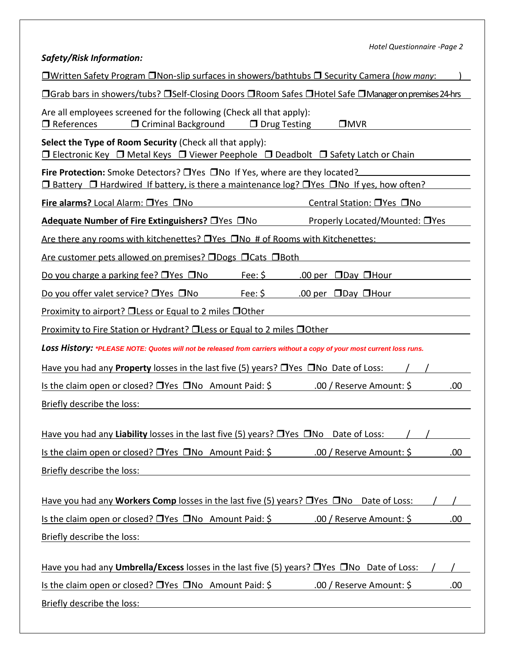| Hotel Questionnaire -Page 2                                                                                                                                                                  |  |  |  |  |  |  |  |
|----------------------------------------------------------------------------------------------------------------------------------------------------------------------------------------------|--|--|--|--|--|--|--|
| <b>Safety/Risk Information:</b>                                                                                                                                                              |  |  |  |  |  |  |  |
| <b>UWritten Safety Program ONon-slip surfaces in showers/bathtubs O Security Camera (how many:</b>                                                                                           |  |  |  |  |  |  |  |
| <b>OGrab bars in showers/tubs? OSelf-Closing Doors ORoom Safes OHotel Safe OManageron premises 24-hrs</b>                                                                                    |  |  |  |  |  |  |  |
| Are all employees screened for the following (Check all that apply):<br>$\Box$ References<br>□ Criminal Background<br>$\Box$ Drug Testing<br>$\square$ MVR                                   |  |  |  |  |  |  |  |
| Select the Type of Room Security (Check all that apply):<br>$\Box$ Electronic Key $\Box$ Metal Keys $\Box$ Viewer Peephole $\Box$ Deadbolt $\Box$ Safety Latch or Chain                      |  |  |  |  |  |  |  |
| <b>Fire Protection:</b> Smoke Detectors? $\Box$ Yes $\Box$ No If Yes, where are they located?<br>□ Battery □ Hardwired If battery, is there a maintenance log? □ Yes □ No If yes, how often? |  |  |  |  |  |  |  |
| Fire alarms? Local Alarm: TYes TNo<br>Central Station: □ Yes □ No                                                                                                                            |  |  |  |  |  |  |  |
| Properly Located/Mounted: □ Yes<br>Adequate Number of Fire Extinguishers? □ Yes □ No                                                                                                         |  |  |  |  |  |  |  |
| Are there any rooms with kitchenettes? $\Box$ Yes $\Box$ No # of Rooms with Kitchenettes:                                                                                                    |  |  |  |  |  |  |  |
| <u>Are customer pets allowed on premises? □Dogs □Cats □Both</u>                                                                                                                              |  |  |  |  |  |  |  |
| <u>Fee: \$</u><br>Do you charge a parking fee? $\Box$ Yes $\Box$ No<br>.00 per $\Box$ Day $\Box$ Hour                                                                                        |  |  |  |  |  |  |  |
| Fee: $$$<br>Do you offer valet service? $\Box$ Yes $\Box$ No<br>.00 per $\Box$ Day $\Box$ Hour                                                                                               |  |  |  |  |  |  |  |
| <b>Proximity to airport? OLess or Equal to 2 miles OOther</b>                                                                                                                                |  |  |  |  |  |  |  |
| <u>Proximity to Fire Station or Hydrant? □ Less or Equal to 2 miles □ Other</u>                                                                                                              |  |  |  |  |  |  |  |
| LOSS History: *PLEASE NOTE: Quotes will not be released from carriers without a copy of your most current loss runs.                                                                         |  |  |  |  |  |  |  |
| Have you had any <b>Property</b> losses in the last five (5) years? $\Box$ Yes $\Box$ No Date of Loss:                                                                                       |  |  |  |  |  |  |  |
| Is the claim open or closed? □ Yes □ No Amount Paid: \$<br>.00 / Reserve Amount: \$<br>.00                                                                                                   |  |  |  |  |  |  |  |
| Briefly describe the loss:                                                                                                                                                                   |  |  |  |  |  |  |  |
| Have you had any Liability losses in the last five (5) years? $\Box$ Yes $\Box$ No Date of Loss:                                                                                             |  |  |  |  |  |  |  |
| Is the claim open or closed? $\Box$ Yes $\Box$ No Amount Paid: \$ .00 / Reserve Amount: \$<br>.00                                                                                            |  |  |  |  |  |  |  |
| Briefly describe the loss:                                                                                                                                                                   |  |  |  |  |  |  |  |
|                                                                                                                                                                                              |  |  |  |  |  |  |  |
| Have you had any <b>Workers Comp</b> losses in the last five (5) years? $\Box$ Yes $\Box$ No Date of Loss:                                                                                   |  |  |  |  |  |  |  |
| Is the claim open or closed? $\Box$ Yes $\Box$ No Amount Paid: \$ .00 / Reserve Amount: \$<br>.00.                                                                                           |  |  |  |  |  |  |  |
| Briefly describe the loss:                                                                                                                                                                   |  |  |  |  |  |  |  |
|                                                                                                                                                                                              |  |  |  |  |  |  |  |
| Have you had any <b>Umbrella/Excess</b> losses in the last five (5) years? $\Box$ Yes $\Box$ No Date of Loss:                                                                                |  |  |  |  |  |  |  |
| Is the claim open or closed? $\Box$ Yes $\Box$ No Amount Paid: \$ .00 / Reserve Amount: \$<br>.00                                                                                            |  |  |  |  |  |  |  |
| Briefly describe the loss:                                                                                                                                                                   |  |  |  |  |  |  |  |
|                                                                                                                                                                                              |  |  |  |  |  |  |  |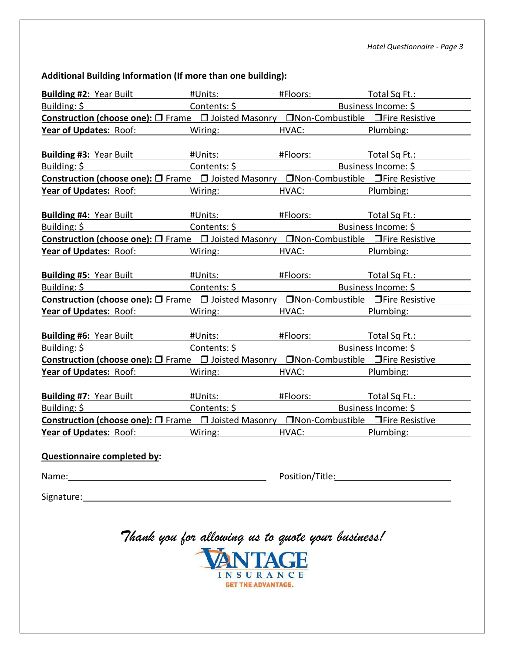#### **Additional Building Information (If more than one building):**

| <b>Building #2: Year Built</b>                                                            | #Units: when the second second second second second second second second second second second second second second second second second second second second second second second second second second second second second se |                                                                                                                                                                                                                               | #Floors: Total Sq Ft.: |
|-------------------------------------------------------------------------------------------|--------------------------------------------------------------------------------------------------------------------------------------------------------------------------------------------------------------------------------|-------------------------------------------------------------------------------------------------------------------------------------------------------------------------------------------------------------------------------|------------------------|
|                                                                                           |                                                                                                                                                                                                                                |                                                                                                                                                                                                                               | Business Income: \$    |
| Construction (choose one): □ Frame □ Joisted Masonry □ Non-Combustible □ Fire Resistive   |                                                                                                                                                                                                                                |                                                                                                                                                                                                                               |                        |
| <b>Year of Updates:</b> Roof: Wiring:                                                     |                                                                                                                                                                                                                                | HVAC: Experience of the set of the set of the set of the set of the set of the set of the set of the set of the set of the set of the set of the set of the set of the set of the set of the set of the set of the set of the | Plumbing:              |
|                                                                                           |                                                                                                                                                                                                                                |                                                                                                                                                                                                                               |                        |
| <b>Building #3: Year Built</b>                                                            | #Units: when the second service of the series of the series of the series of the series of the series of the s                                                                                                                 |                                                                                                                                                                                                                               | #Floors: Total Sq Ft.: |
| Building: \$                                                                              | Contents: \$                                                                                                                                                                                                                   |                                                                                                                                                                                                                               | Business Income: \$    |
| Construction (choose one): O Frame O Joisted Masonry ONon-Combustible OFire Resistive     |                                                                                                                                                                                                                                |                                                                                                                                                                                                                               |                        |
| <b>Year of Updates: Roof:</b>                                                             | Wiring: Wiring:                                                                                                                                                                                                                | HVAC: And the state of the state of the state of the state of the state of the state of the state of the state of the state of the state of the state of the state of the state of the state of the state of the state of the | Plumbing:              |
|                                                                                           |                                                                                                                                                                                                                                |                                                                                                                                                                                                                               |                        |
| <b>Building #4: Year Built</b>                                                            | #Units: <b>All Accounts</b>                                                                                                                                                                                                    |                                                                                                                                                                                                                               | #Floors: Total Sq Ft.: |
| Building: \$ Building: \$ Business Income: \$ Contents: \$ Southern & Business Income: \$ |                                                                                                                                                                                                                                |                                                                                                                                                                                                                               |                        |
| Construction (choose one): □ Frame □ Joisted Masonry □ Non-Combustible □ Fire Resistive   |                                                                                                                                                                                                                                |                                                                                                                                                                                                                               |                        |
| <b>Year of Updates: Roof:</b>                                                             | Wiring:                                                                                                                                                                                                                        | HVAC: Experience of the set of the set of the set of the set of the set of the set of the set of the set of the set of the set of the set of the set of the set of the set of the set of the set of the set of the set of the | Plumbing:              |
|                                                                                           |                                                                                                                                                                                                                                |                                                                                                                                                                                                                               |                        |
| <b>Building #5:</b> Year Built #Units:                                                    |                                                                                                                                                                                                                                |                                                                                                                                                                                                                               | #Floors: Total Sq Ft.: |
| Building: \$<br><u> 1989 - John Stein, mars and de Brande</u>                             | Contents: \$                                                                                                                                                                                                                   |                                                                                                                                                                                                                               | Business Income: \$    |
| Construction (choose one): □ Frame □ Joisted Masonry □ Non-Combustible □ Fire Resistive   |                                                                                                                                                                                                                                |                                                                                                                                                                                                                               |                        |
| <b>Year of Updates: Roof:</b> Wiring:                                                     |                                                                                                                                                                                                                                |                                                                                                                                                                                                                               | HVAC: Plumbing:        |
|                                                                                           |                                                                                                                                                                                                                                |                                                                                                                                                                                                                               |                        |
| <b>Building #6: Year Built</b>                                                            | #Units:                                                                                                                                                                                                                        |                                                                                                                                                                                                                               |                        |
| Building: $\frac{1}{2}$                                                                   | Contents: \$                                                                                                                                                                                                                   |                                                                                                                                                                                                                               | Business Income: \$    |
| Construction (choose one): □ Frame □ Joisted Masonry □ Non-Combustible □ Fire Resistive   |                                                                                                                                                                                                                                |                                                                                                                                                                                                                               |                        |
| <b>Year of Updates: Roof:</b>                                                             | Wiring:                                                                                                                                                                                                                        |                                                                                                                                                                                                                               | HVAC: Plumbing:        |
|                                                                                           |                                                                                                                                                                                                                                |                                                                                                                                                                                                                               |                        |
| <b>Building #7: Year Built</b>                                                            | #Units: when the set of the set of the set of the set of the set of the set of the set of the set of the set o                                                                                                                 |                                                                                                                                                                                                                               | #Floors: Total Sq Ft.: |
| Building: \$<br>the control of the control of the control of                              | Contents: \$                                                                                                                                                                                                                   |                                                                                                                                                                                                                               | Business Income: \$    |
| Construction (choose one): □ Frame □ Joisted Masonry □ Non-Combustible □ Fire Resistive   |                                                                                                                                                                                                                                |                                                                                                                                                                                                                               |                        |
| <b>Year of Updates:</b> Roof: Wiring:                                                     |                                                                                                                                                                                                                                |                                                                                                                                                                                                                               | HVAC: Plumbing:        |
|                                                                                           |                                                                                                                                                                                                                                |                                                                                                                                                                                                                               |                        |
| <b>Questionnaire completed by:</b>                                                        |                                                                                                                                                                                                                                |                                                                                                                                                                                                                               |                        |
| Name:                                                                                     |                                                                                                                                                                                                                                | Position/Title:                                                                                                                                                                                                               |                        |
|                                                                                           |                                                                                                                                                                                                                                |                                                                                                                                                                                                                               |                        |
| Signature:                                                                                |                                                                                                                                                                                                                                |                                                                                                                                                                                                                               |                        |

# *Thank you for allowing us to quote your business!*

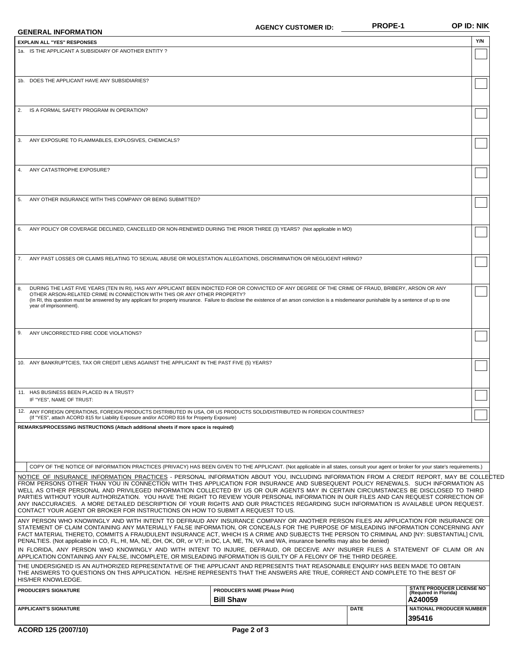| <b>GENERAL INFORMATION</b>                                                                                                                                                                                                                                                                                                                                                                                                                                                                                                                                                                                                                                                                                                                                                              | <b>AGENCY CUSTOMER ID:</b>                                | <b>PROPE-1</b> | OP ID: NIK                                                   |
|-----------------------------------------------------------------------------------------------------------------------------------------------------------------------------------------------------------------------------------------------------------------------------------------------------------------------------------------------------------------------------------------------------------------------------------------------------------------------------------------------------------------------------------------------------------------------------------------------------------------------------------------------------------------------------------------------------------------------------------------------------------------------------------------|-----------------------------------------------------------|----------------|--------------------------------------------------------------|
| <b>EXPLAIN ALL "YES" RESPONSES</b>                                                                                                                                                                                                                                                                                                                                                                                                                                                                                                                                                                                                                                                                                                                                                      |                                                           |                | Y/N                                                          |
| 1a. IS THE APPLICANT A SUBSIDIARY OF ANOTHER ENTITY?                                                                                                                                                                                                                                                                                                                                                                                                                                                                                                                                                                                                                                                                                                                                    |                                                           |                |                                                              |
| 1b. DOES THE APPLICANT HAVE ANY SUBSIDIARIES?                                                                                                                                                                                                                                                                                                                                                                                                                                                                                                                                                                                                                                                                                                                                           |                                                           |                |                                                              |
| 2. IS A FORMAL SAFETY PROGRAM IN OPERATION?                                                                                                                                                                                                                                                                                                                                                                                                                                                                                                                                                                                                                                                                                                                                             |                                                           |                |                                                              |
| 3. ANY EXPOSURE TO FLAMMABLES, EXPLOSIVES, CHEMICALS?                                                                                                                                                                                                                                                                                                                                                                                                                                                                                                                                                                                                                                                                                                                                   |                                                           |                |                                                              |
| 4. ANY CATASTROPHE EXPOSURE?                                                                                                                                                                                                                                                                                                                                                                                                                                                                                                                                                                                                                                                                                                                                                            |                                                           |                |                                                              |
| ANY OTHER INSURANCE WITH THIS COMPANY OR BEING SUBMITTED?<br>5.                                                                                                                                                                                                                                                                                                                                                                                                                                                                                                                                                                                                                                                                                                                         |                                                           |                |                                                              |
| ANY POLICY OR COVERAGE DECLINED, CANCELLED OR NON-RENEWED DURING THE PRIOR THREE (3) YEARS? (Not applicable in MO)<br>6.                                                                                                                                                                                                                                                                                                                                                                                                                                                                                                                                                                                                                                                                |                                                           |                |                                                              |
| 7. ANY PAST LOSSES OR CLAIMS RELATING TO SEXUAL ABUSE OR MOLESTATION ALLEGATIONS, DISCRIMINATION OR NEGLIGENT HIRING?                                                                                                                                                                                                                                                                                                                                                                                                                                                                                                                                                                                                                                                                   |                                                           |                |                                                              |
| DURING THE LAST FIVE YEARS (TEN IN RI), HAS ANY APPLICANT BEEN INDICTED FOR OR CONVICTED OF ANY DEGREE OF THE CRIME OF FRAUD, BRIBERY, ARSON OR ANY<br>8.<br>OTHER ARSON-RELATED CRIME IN CONNECTION WITH THIS OR ANY OTHER PROPERTY?<br>(In RI, this question must be answered by any applicant for property insurance. Failure to disclose the existence of an arson conviction is a misdemeanor punishable by a sentence of up to one<br>year of imprisonment).                                                                                                                                                                                                                                                                                                                      |                                                           |                |                                                              |
| 9. ANY UNCORRECTED FIRE CODE VIOLATIONS?                                                                                                                                                                                                                                                                                                                                                                                                                                                                                                                                                                                                                                                                                                                                                |                                                           |                |                                                              |
| 10. ANY BANKRUPTCIES, TAX OR CREDIT LIENS AGAINST THE APPLICANT IN THE PAST FIVE (5) YEARS?                                                                                                                                                                                                                                                                                                                                                                                                                                                                                                                                                                                                                                                                                             |                                                           |                |                                                              |
| 11. HAS BUSINESS BEEN PLACED IN A TRUST?<br>IF "YES", NAME OF TRUST:                                                                                                                                                                                                                                                                                                                                                                                                                                                                                                                                                                                                                                                                                                                    |                                                           |                |                                                              |
| 12. ANY FOREIGN OPERATIONS, FOREIGN PRODUCTS DISTRIBUTED IN USA, OR US PRODUCTS SOLD/DISTRIBUTED IN FOREIGN COUNTRIES?<br>(If "YES", attach ACORD 815 for Liability Exposure and/or ACORD 816 for Property Exposure)<br>REMARKS/PROCESSING INSTRUCTIONS (Attach additional sheets if more space is required)                                                                                                                                                                                                                                                                                                                                                                                                                                                                            |                                                           |                |                                                              |
|                                                                                                                                                                                                                                                                                                                                                                                                                                                                                                                                                                                                                                                                                                                                                                                         |                                                           |                |                                                              |
| COPY OF THE NOTICE OF INFORMATION PRACTICES (PRIVACY) HAS BEEN GIVEN TO THE APPLICANT. (Not applicable in all states, consult your agent or broker for your state's requirements.)                                                                                                                                                                                                                                                                                                                                                                                                                                                                                                                                                                                                      |                                                           |                |                                                              |
| NOTICE OF INSURANCE INFORMATION PRACTICES - PERSONAL INFORMATION ABOUT YOU, INCLUDING INFORMATION FROM A CREDIT REPORT, MAY BE COLLECTED<br>FROM PERSONS OTHER THAN YOU IN CONNECTION WITH THIS APPLICATION FOR INSURANCE AND SUBSEQUENT POLICY RENEWALS. SUCH INFORMATION AS<br>WELL AS OTHER PERSONAL AND PRIVILEGED INFORMATION COLLECTED BY US OR OUR AGENTS MAY IN CERTAIN CIRCUMSTANCES BE DISCLOSED TO THIRD<br>PARTIES WITHOUT YOUR AUTHORIZATION. YOU HAVE THE RIGHT TO REVIEW YOUR PERSONAL INFORMATION IN OUR FILES AND CAN REQUEST CORRECTION OF<br>ANY INACCURACIES. A MORE DETAILED DESCRIPTION OF YOUR RIGHTS AND OUR PRACTICES REGARDING SUCH INFORMATION IS AVAILABLE UPON REQUEST.<br>CONTACT YOUR AGENT OR BROKER FOR INSTRUCTIONS ON HOW TO SUBMIT A REQUEST TO US. |                                                           |                |                                                              |
| ANY PERSON WHO KNOWINGLY AND WITH INTENT TO DEFRAUD ANY INSURANCE COMPANY OR ANOTHER PERSON FILES AN APPLICATION FOR INSURANCE OR<br>STATEMENT OF CLAIM CONTAINING ANY MATERIALLY FALSE INFORMATION, OR CONCEALS FOR THE PURPOSE OF MISLEADING INFORMATION CONCERNING ANY<br>FACT MATERIAL THERETO, COMMITS A FRAUDULENT INSURANCE ACT, WHICH IS A CRIME AND SUBJECTS THE PERSON TO CRIMINAL AND [NY: SUBSTANTIAL] CIVIL<br>PENALTIES. (Not applicable in CO, FL, HI, MA, NE, OH, OK, OR, or VT; in DC, LA, ME, TN, VA and WA, insurance benefits may also be denied)                                                                                                                                                                                                                   |                                                           |                |                                                              |
| IN FLORIDA, ANY PERSON WHO KNOWINGLY AND WITH INTENT TO INJURE, DEFRAUD, OR DECEIVE ANY INSURER FILES A STATEMENT OF CLAIM OR AN<br>APPLICATION CONTAINING ANY FALSE, INCOMPLETE, OR MISLEADING INFORMATION IS GUILTY OF A FELONY OF THE THIRD DEGREE.<br>THE UNDERSIGNED IS AN AUTHORIZED REPRESENTATIVE OF THE APPLICANT AND REPRESENTS THAT REASONABLE ENQUIRY HAS BEEN MADE TO OBTAIN                                                                                                                                                                                                                                                                                                                                                                                               |                                                           |                |                                                              |
| THE ANSWERS TO QUESTIONS ON THIS APPLICATION. HE/SHE REPRESENTS THAT THE ANSWERS ARE TRUE, CORRECT AND COMPLETE TO THE BEST OF<br>HIS/HER KNOWLEDGE.                                                                                                                                                                                                                                                                                                                                                                                                                                                                                                                                                                                                                                    |                                                           |                | <b>STATE PRODUCER LICENSE NO</b>                             |
| <b>PRODUCER'S SIGNATURE</b><br><b>APPLICANT'S SIGNATURE</b>                                                                                                                                                                                                                                                                                                                                                                                                                                                                                                                                                                                                                                                                                                                             | <b>PRODUCER'S NAME (Please Print)</b><br><b>Bill Shaw</b> | <b>DATE</b>    | (Required in Florida)<br>A240059<br>NATIONAL PRODUCER NUMBER |
|                                                                                                                                                                                                                                                                                                                                                                                                                                                                                                                                                                                                                                                                                                                                                                                         |                                                           |                | 395416                                                       |